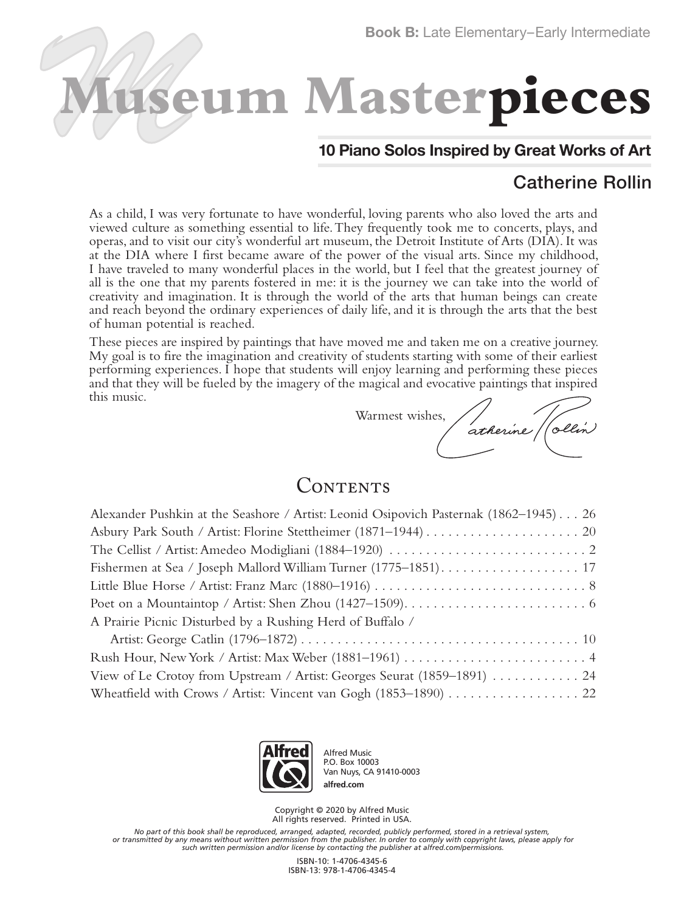# **Museum Masterpieces**

#### **10 Piano Solos Inspired by Great Works of Art**

### Catherine Rollin

As a child, I was very fortunate to have wonderful, loving parents who also loved the arts and viewed culture as something essential to life. They frequently took me to concerts, plays, and operas, and to visit our city's wonderful art museum, the Detroit Institute of Arts (DIA). It was at the DIA where I first became aware of the power of the visual arts. Since my childhood, I have traveled to many wonderful places in the world, but I feel that the greatest journey of all is the one that my parents fostered in me: it is the journey we can take into the world of creativity and imagination. It is through the world of the arts that human beings can create and reach beyond the ordinary experiences of daily life, and it is through the arts that the best of human potential is reached.

These pieces are inspired by paintings that have moved me and taken me on a creative journey. My goal is to fire the imagination and creativity of students starting with some of their earliest performing experiences. I hope that students will enjoy learning and performing these pieces and that they will be fueled by the imagery of the magical and evocative paintings that inspired this music.

Warmest wishes,

atherine p /ollin

#### CONTENTS

| Alexander Pushkin at the Seashore / Artist: Leonid Osipovich Pasternak (1862–1945) 26 |
|---------------------------------------------------------------------------------------|
|                                                                                       |
|                                                                                       |
|                                                                                       |
|                                                                                       |
|                                                                                       |
| A Prairie Picnic Disturbed by a Rushing Herd of Buffalo /                             |
|                                                                                       |
|                                                                                       |
| View of Le Crotoy from Upstream / Artist: Georges Seurat (1859–1891)  24              |
|                                                                                       |



Alfred Music P.O. Box 10003 Van Nuys, CA 91410-0003 **alfred.com**

Copyright © 2020 by Alfred Music All rights reserved. Printed in USA.

*No part of this book shall be reproduced, arranged, adapted, recorded, publicly performed, stored in a retrieval system, or transmitted by any means without written permission from the publisher. In order to comply with copyright laws, please apply for such written permission and/or license by contacting the publisher at alfred.com/permissions.*

> ISBN-10: 1-4706-4345-6 ISBN-13: 978-1-4706-4345-4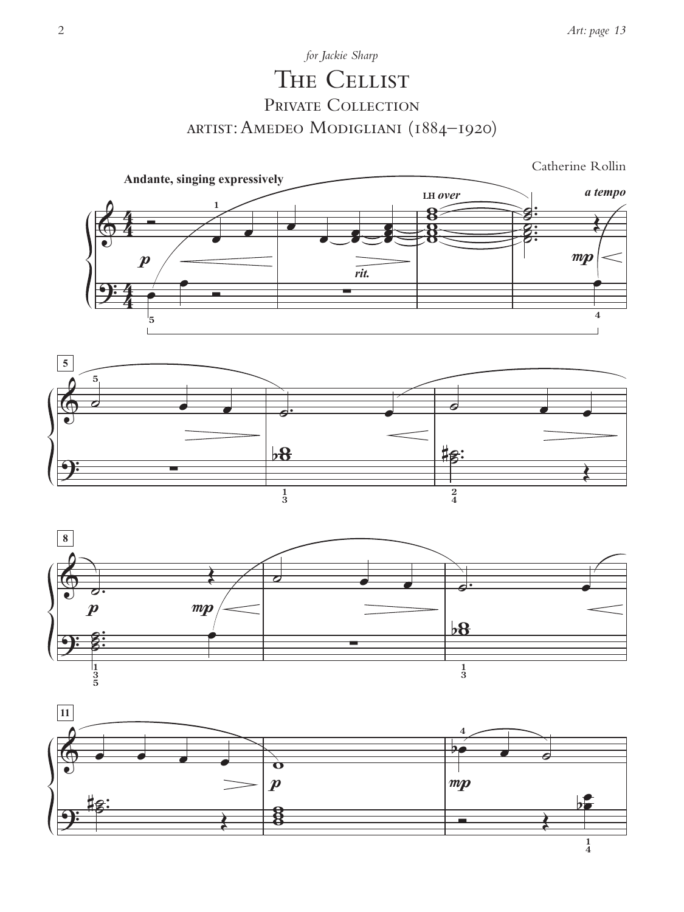## The Cellist PRIVATE COLLECTION artist: Amedeo Modigliani (1884–1920) *for Jackie Sharp*